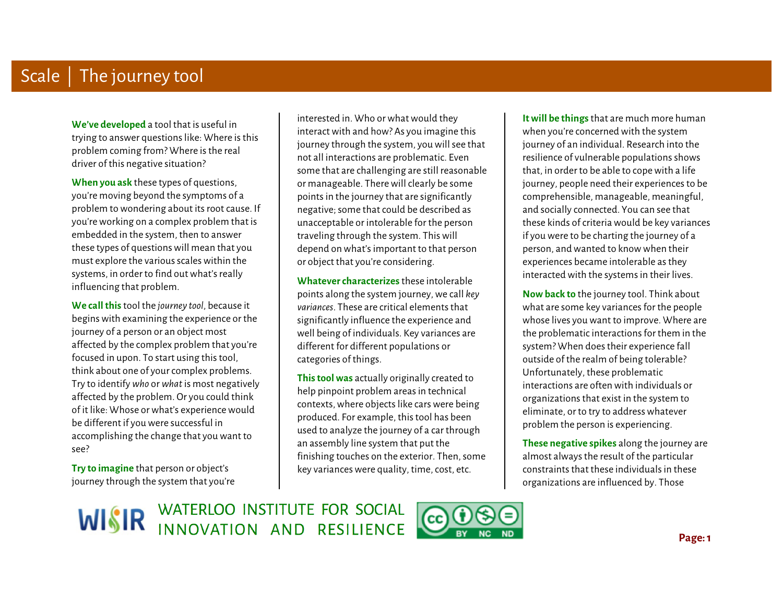**We've developed** a tool that is useful in trying to answer questions like: Where is this problem coming from? Where is the real driver of this negative situation?

 **When you ask** these types of questions, you're moving beyond the symptoms of a problem to wondering about its root cause. If you're working on a complex problem that is embedded in the system, then to answer these types of questions will mean that you must explore the various scales within the systems, in order to find out what's really influencing that problem.

Ì **We call this** tool the *journey tool*, because it begins with examining the experience or the journey of a person or an object most affected by the complex problem that you're focused in upon. To start using this tool, think about one of your complex problems. Try to identify *who* or *what* is most negatively affected by the problem. Or you could think of it like: Whose or what's experience would be different if you were successful in accomplishing the change that you want to see?

**Try to imagine** that person or object's journey through the system that you're

interested in. Who or what would they interact with and how? As you imagine this journey through the system, you will see that not all interactions are problematic. Even some that are challenging are still reasonable or manageable. There will clearly be some points in the journey that are significantly negative; some that could be described as unacceptable or intolerable for the person traveling through the system. This will depend on what's important to that person or object that you're considering.

 $\begin{array}{c} \begin{array}{c} \begin{array}{c} \end{array} \\ \begin{array}{c} \end{array} \end{array} \end{array}$  $\ddot{\phantom{a}}$ **Whatever characterizes** these intolerable points along the system journey, we call *key variances*. These are critical elements that significantly influence the experience and well being of individuals. Key variances are different for different populations or categories of things.

**This tool was** actually originally created to help pinpoint problem areas in technical contexts, where objects like cars were being produced. For example, this tool has been used to analyze the journey of a car through an assembly line system that put the finishing touches on the exterior. Then, some key variances were quality, time, cost, etc.

J **It will be things** that are much more human when you're concerned with the system journey of an individual. Research into the resilience of vulnerable populations shows that, in order to be able to cope with a life journey, people need their experiences to be comprehensible, manageable, meaningful, and socially connected. You can see that these kinds of criteria would be key variances if you were to be charting the journey of a person, and wanted to know when their experiences became intolerable as they interacted with the systems in their lives.

 **Now back to** the journey tool. Think about what are some key variances for the people whose lives you want to improve. Where are the problematic interactions for them in the system? When does their experience fall outside of the realm of being tolerable? Unfortunately, these problematic interactions are often with individuals or organizations that exist in the system to eliminate, or to try to address whatever problem the person is experiencing.

**These negative spikes** along the journey are almost always the result of the particular constraints that these individuals in these organizations are influenced by. Those

WISIR WATERLOO INSTITUTE FOR SOCIAL